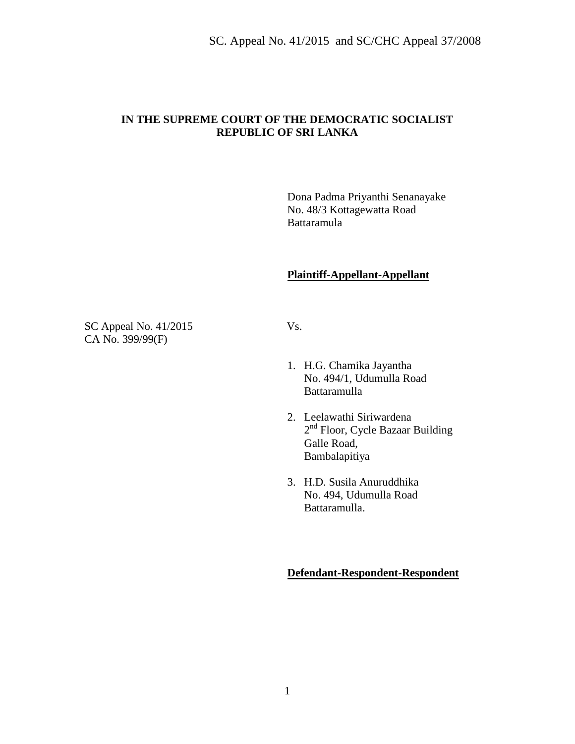#### **IN THE SUPREME COURT OF THE DEMOCRATIC SOCIALIST REPUBLIC OF SRI LANKA**

Dona Padma Priyanthi Senanayake No. 48/3 Kottagewatta Road Battaramula

## **Plaintiff-Appellant-Appellant**

SC Appeal No. 41/2015 Vs. CA No. 399/99(F)

- 1. H.G. Chamika Jayantha No. 494/1, Udumulla Road Battaramulla
- 2. Leelawathi Siriwardena 2<sup>nd</sup> Floor, Cycle Bazaar Building Galle Road, Bambalapitiya
- 3. H.D. Susila Anuruddhika No. 494, Udumulla Road Battaramulla.

#### **Defendant-Respondent-Respondent**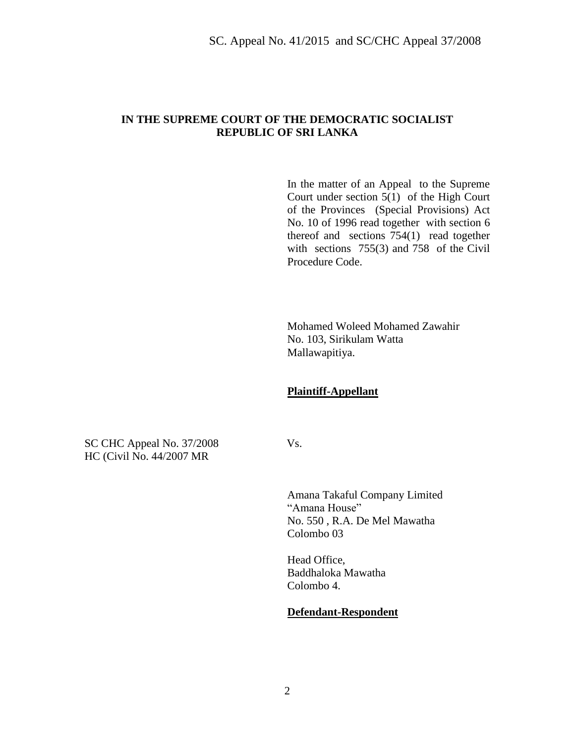#### **IN THE SUPREME COURT OF THE DEMOCRATIC SOCIALIST REPUBLIC OF SRI LANKA**

In the matter of an Appeal to the Supreme Court under section 5(1) of the High Court of the Provinces (Special Provisions) Act No. 10 of 1996 read together with section 6 thereof and sections 754(1) read together with sections 755(3) and 758 of the Civil Procedure Code.

Mohamed Woleed Mohamed Zawahir No. 103, Sirikulam Watta Mallawapitiya.

#### **Plaintiff-Appellant**

SC CHC Appeal No. 37/2008 Vs. HC (Civil No. 44/2007 MR

Amana Takaful Company Limited "Amana House" No. 550 , R.A. De Mel Mawatha Colombo 03

Head Office, Baddhaloka Mawatha Colombo 4.

#### **Defendant-Respondent**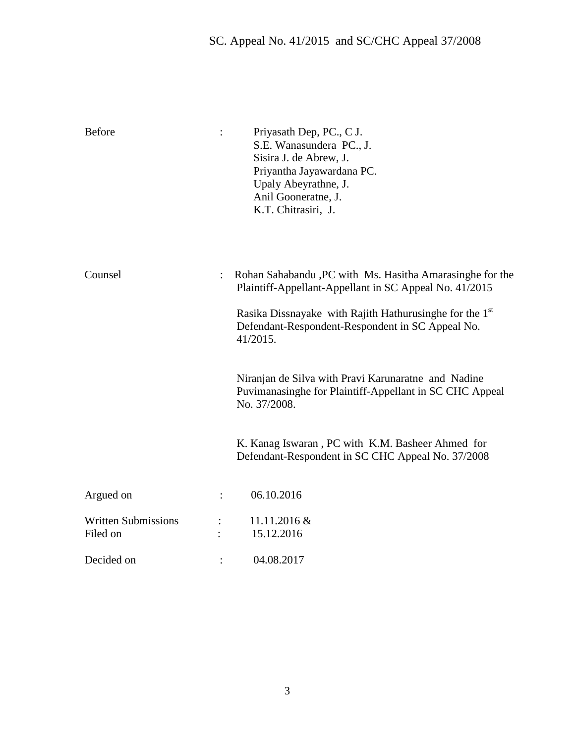| <b>Before</b>                          | Priyasath Dep, PC., C J.<br>S.E. Wanasundera PC., J.<br>Sisira J. de Abrew, J.<br>Priyantha Jayawardana PC.<br>Upaly Abeyrathne, J.<br>Anil Gooneratne, J.<br>K.T. Chitrasiri, J. |
|----------------------------------------|-----------------------------------------------------------------------------------------------------------------------------------------------------------------------------------|
| Counsel                                | Rohan Sahabandu , PC with Ms. Hasitha Amarasinghe for the<br>Plaintiff-Appellant-Appellant in SC Appeal No. 41/2015                                                               |
|                                        | Rasika Dissnayake with Rajith Hathurusinghe for the $1st$<br>Defendant-Respondent-Respondent in SC Appeal No.<br>41/2015.                                                         |
|                                        | Niranjan de Silva with Pravi Karunaratne and Nadine<br>Puvimanasinghe for Plaintiff-Appellant in SC CHC Appeal<br>No. 37/2008.                                                    |
|                                        | K. Kanag Iswaran, PC with K.M. Basheer Ahmed for<br>Defendant-Respondent in SC CHC Appeal No. 37/2008                                                                             |
| Argued on                              | 06.10.2016                                                                                                                                                                        |
| <b>Written Submissions</b><br>Filed on | $11.11.2016 \&$<br>15.12.2016                                                                                                                                                     |
| Decided on                             | 04.08.2017                                                                                                                                                                        |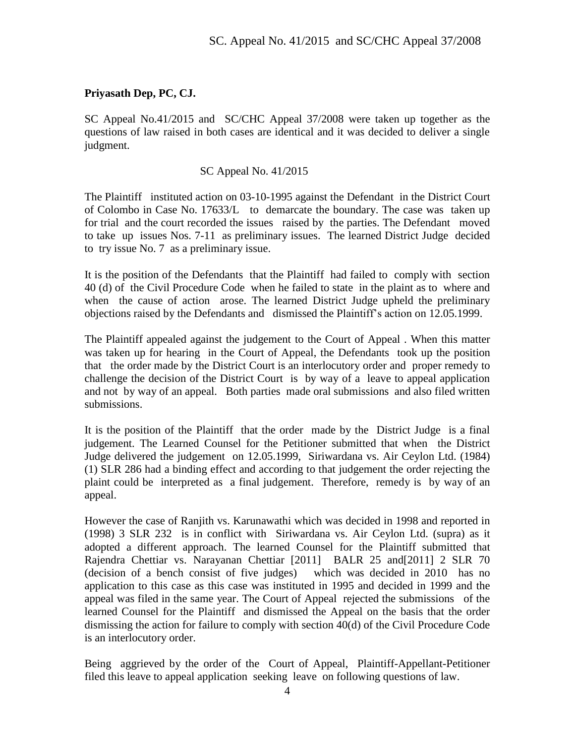## **Priyasath Dep, PC, CJ.**

SC Appeal No.41/2015 and SC/CHC Appeal 37/2008 were taken up together as the questions of law raised in both cases are identical and it was decided to deliver a single judgment.

## SC Appeal No. 41/2015

The Plaintiff instituted action on 03-10-1995 against the Defendant in the District Court of Colombo in Case No. 17633/L to demarcate the boundary. The case was taken up for trial and the court recorded the issues raised by the parties. The Defendant moved to take up issues Nos. 7-11 as preliminary issues. The learned District Judge decided to try issue No. 7 as a preliminary issue.

It is the position of the Defendants that the Plaintiff had failed to comply with section 40 (d) of the Civil Procedure Code when he failed to state in the plaint as to where and when the cause of action arose. The learned District Judge upheld the preliminary objections raised by the Defendants and dismissed the Plaintiff's action on 12.05.1999.

The Plaintiff appealed against the judgement to the Court of Appeal . When this matter was taken up for hearing in the Court of Appeal, the Defendants took up the position that the order made by the District Court is an interlocutory order and proper remedy to challenge the decision of the District Court is by way of a leave to appeal application and not by way of an appeal. Both parties made oral submissions and also filed written submissions.

It is the position of the Plaintiff that the order made by the District Judge is a final judgement. The Learned Counsel for the Petitioner submitted that when the District Judge delivered the judgement on 12.05.1999, Siriwardana vs. Air Ceylon Ltd. (1984) (1) SLR 286 had a binding effect and according to that judgement the order rejecting the plaint could be interpreted as a final judgement. Therefore, remedy is by way of an appeal.

However the case of Ranjith vs. Karunawathi which was decided in 1998 and reported in (1998) 3 SLR 232 is in conflict with Siriwardana vs. Air Ceylon Ltd. (supra) as it adopted a different approach. The learned Counsel for the Plaintiff submitted that Rajendra Chettiar vs. Narayanan Chettiar [2011] BALR 25 and[2011] 2 SLR 70 (decision of a bench consist of five judges) which was decided in 2010 has no application to this case as this case was instituted in 1995 and decided in 1999 and the appeal was filed in the same year. The Court of Appeal rejected the submissions of the learned Counsel for the Plaintiff and dismissed the Appeal on the basis that the order dismissing the action for failure to comply with section 40(d) of the Civil Procedure Code is an interlocutory order.

Being aggrieved by the order of the Court of Appeal, Plaintiff-Appellant-Petitioner filed this leave to appeal application seeking leave on following questions of law.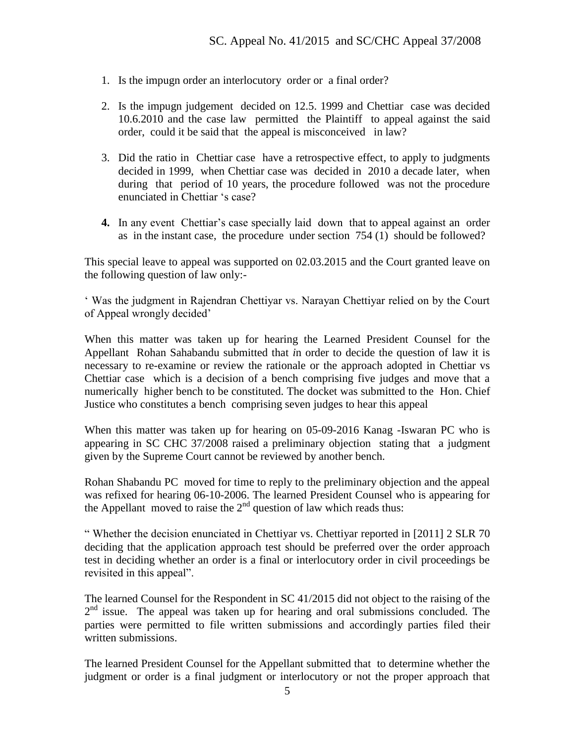- 1. Is the impugn order an interlocutory order or a final order?
- 2. Is the impugn judgement decided on 12.5. 1999 and Chettiar case was decided 10.6.2010 and the case law permitted the Plaintiff to appeal against the said order, could it be said that the appeal is misconceived in law?
- 3. Did the ratio in Chettiar case have a retrospective effect, to apply to judgments decided in 1999, when Chettiar case was decided in 2010 a decade later, when during that period of 10 years, the procedure followed was not the procedure enunciated in Chettiar 's case?
- **4.** In any event Chettiar's case specially laid down that to appeal against an order as in the instant case, the procedure under section 754 (1) should be followed?

This special leave to appeal was supported on 02.03.2015 and the Court granted leave on the following question of law only:-

' Was the judgment in Rajendran Chettiyar vs. Narayan Chettiyar relied on by the Court of Appeal wrongly decided'

When this matter was taken up for hearing the Learned President Counsel for the Appellant Rohan Sahabandu submitted that *i*n order to decide the question of law it is necessary to re-examine or review the rationale or the approach adopted in Chettiar vs Chettiar case which is a decision of a bench comprising five judges and move that a numerically higher bench to be constituted. The docket was submitted to the Hon. Chief Justice who constitutes a bench comprising seven judges to hear this appeal

When this matter was taken up for hearing on 05-09-2016 Kanag -Iswaran PC who is appearing in SC CHC 37/2008 raised a preliminary objection stating that a judgment given by the Supreme Court cannot be reviewed by another bench.

Rohan Shabandu PC moved for time to reply to the preliminary objection and the appeal was refixed for hearing 06-10-2006. The learned President Counsel who is appearing for the Appellant moved to raise the  $2<sup>nd</sup>$  question of law which reads thus:

" Whether the decision enunciated in Chettiyar vs. Chettiyar reported in [2011] 2 SLR 70 deciding that the application approach test should be preferred over the order approach test in deciding whether an order is a final or interlocutory order in civil proceedings be revisited in this appeal".

The learned Counsel for the Respondent in SC 41/2015 did not object to the raising of the  $2<sup>nd</sup>$  issue. The appeal was taken up for hearing and oral submissions concluded. The parties were permitted to file written submissions and accordingly parties filed their written submissions.

The learned President Counsel for the Appellant submitted that to determine whether the judgment or order is a final judgment or interlocutory or not the proper approach that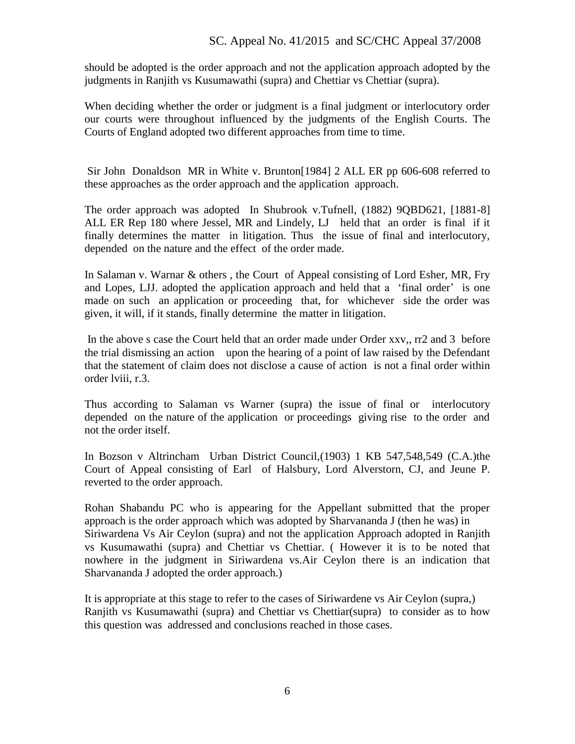should be adopted is the order approach and not the application approach adopted by the judgments in Ranjith vs Kusumawathi (supra) and Chettiar vs Chettiar (supra).

When deciding whether the order or judgment is a final judgment or interlocutory order our courts were throughout influenced by the judgments of the English Courts. The Courts of England adopted two different approaches from time to time.

Sir John Donaldson MR in White v. Brunton[1984] 2 ALL ER pp 606-608 referred to these approaches as the order approach and the application approach.

The order approach was adopted In Shubrook v.Tufnell, (1882) 9QBD621, [1881-8] ALL ER Rep 180 where Jessel, MR and Lindely, LJ held that an order is final if it finally determines the matter in litigation. Thus the issue of final and interlocutory, depended on the nature and the effect of the order made.

In Salaman v. Warnar & others , the Court of Appeal consisting of Lord Esher, MR, Fry and Lopes, LJJ. adopted the application approach and held that a 'final order' is one made on such an application or proceeding that, for whichever side the order was given, it will, if it stands, finally determine the matter in litigation.

In the above s case the Court held that an order made under Order xxv,, rr2 and 3 before the trial dismissing an action upon the hearing of a point of law raised by the Defendant that the statement of claim does not disclose a cause of action is not a final order within order lviii, r.3.

Thus according to Salaman vs Warner (supra) the issue of final or interlocutory depended on the nature of the application or proceedings giving rise to the order and not the order itself.

In Bozson v Altrincham Urban District Council,(1903) 1 KB 547,548,549 (C.A.)the Court of Appeal consisting of Earl of Halsbury, Lord Alverstorn, CJ, and Jeune P. reverted to the order approach.

Rohan Shabandu PC who is appearing for the Appellant submitted that the proper approach is the order approach which was adopted by Sharvananda J (then he was) in Siriwardena Vs Air Ceylon (supra) and not the application Approach adopted in Ranjith vs Kusumawathi (supra) and Chettiar vs Chettiar. ( However it is to be noted that nowhere in the judgment in Siriwardena vs.Air Ceylon there is an indication that Sharvananda J adopted the order approach.)

It is appropriate at this stage to refer to the cases of Siriwardene vs Air Ceylon (supra,) Ranjith vs Kusumawathi (supra) and Chettiar vs Chettiar(supra) to consider as to how this question was addressed and conclusions reached in those cases.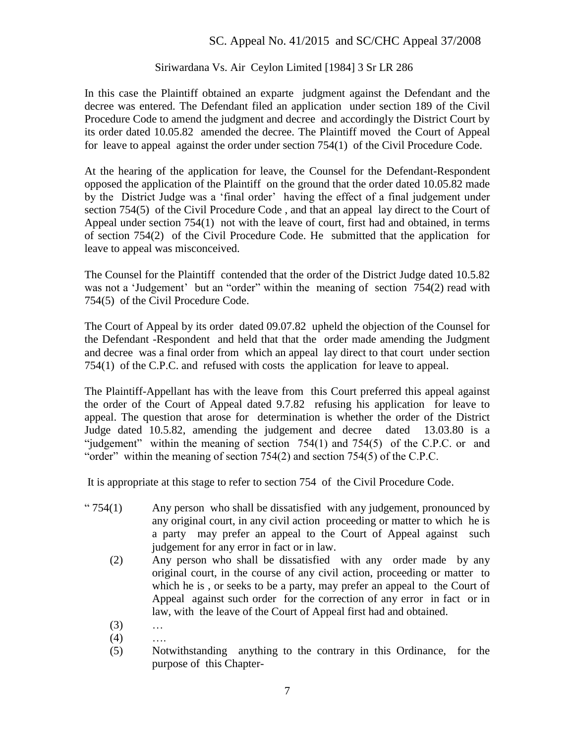## Siriwardana Vs. Air Ceylon Limited [1984] 3 Sr LR 286

In this case the Plaintiff obtained an exparte judgment against the Defendant and the decree was entered. The Defendant filed an application under section 189 of the Civil Procedure Code to amend the judgment and decree and accordingly the District Court by its order dated 10.05.82 amended the decree. The Plaintiff moved the Court of Appeal for leave to appeal against the order under section 754(1) of the Civil Procedure Code.

At the hearing of the application for leave, the Counsel for the Defendant-Respondent opposed the application of the Plaintiff on the ground that the order dated 10.05.82 made by the District Judge was a 'final order' having the effect of a final judgement under section 754(5) of the Civil Procedure Code , and that an appeal lay direct to the Court of Appeal under section 754(1) not with the leave of court, first had and obtained, in terms of section 754(2) of the Civil Procedure Code. He submitted that the application for leave to appeal was misconceived.

The Counsel for the Plaintiff contended that the order of the District Judge dated 10.5.82 was not a 'Judgement' but an "order" within the meaning of section 754(2) read with 754(5) of the Civil Procedure Code.

The Court of Appeal by its order dated 09.07.82 upheld the objection of the Counsel for the Defendant -Respondent and held that that the order made amending the Judgment and decree was a final order from which an appeal lay direct to that court under section 754(1) of the C.P.C. and refused with costs the application for leave to appeal.

The Plaintiff-Appellant has with the leave from this Court preferred this appeal against the order of the Court of Appeal dated 9.7.82 refusing his application for leave to appeal. The question that arose for determination is whether the order of the District Judge dated 10.5.82, amending the judgement and decree dated 13.03.80 is a "judgement" within the meaning of section 754(1) and 754(5) of the C.P.C. or and "order" within the meaning of section 754(2) and section 754(5) of the C.P.C.

It is appropriate at this stage to refer to section 754 of the Civil Procedure Code.

- " $754(1)$  Any person who shall be dissatisfied with any judgement, pronounced by any original court, in any civil action proceeding or matter to which he is a party may prefer an appeal to the Court of Appeal against such judgement for any error in fact or in law.
	- (2) Any person who shall be dissatisfied with any order made by any original court, in the course of any civil action, proceeding or matter to which he is, or seeks to be a party, may prefer an appeal to the Court of Appeal against such order for the correction of any error in fact or in law, with the leave of the Court of Appeal first had and obtained.
	- (3) …
	- $(4)$  ….
	- (5) Notwithstanding anything to the contrary in this Ordinance, for the purpose of this Chapter-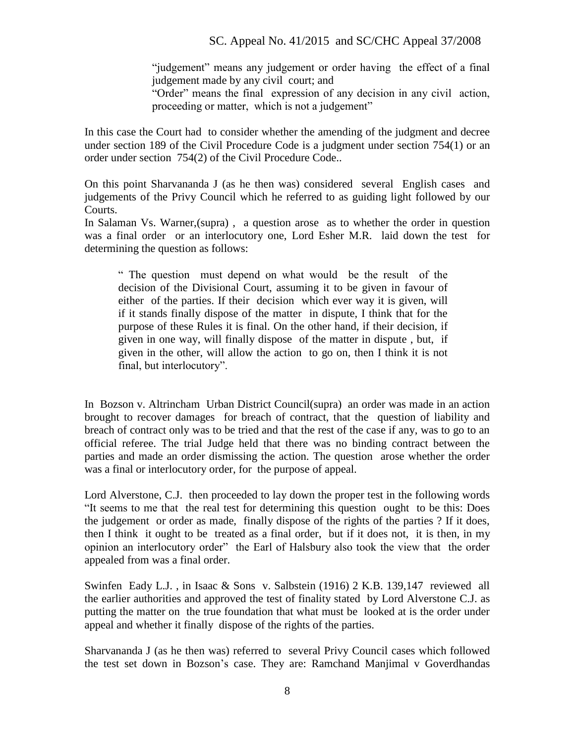"judgement" means any judgement or order having the effect of a final judgement made by any civil court; and

"Order" means the final expression of any decision in any civil action, proceeding or matter, which is not a judgement"

In this case the Court had to consider whether the amending of the judgment and decree under section 189 of the Civil Procedure Code is a judgment under section 754(1) or an order under section 754(2) of the Civil Procedure Code..

On this point Sharvananda J (as he then was) considered several English cases and judgements of the Privy Council which he referred to as guiding light followed by our Courts.

In Salaman Vs. Warner,(supra) , a question arose as to whether the order in question was a final order or an interlocutory one, Lord Esher M.R. laid down the test for determining the question as follows:

" The question must depend on what would be the result of the decision of the Divisional Court, assuming it to be given in favour of either of the parties. If their decision which ever way it is given, will if it stands finally dispose of the matter in dispute, I think that for the purpose of these Rules it is final. On the other hand, if their decision, if given in one way, will finally dispose of the matter in dispute , but, if given in the other, will allow the action to go on, then I think it is not final, but interlocutory".

In Bozson v. Altrincham Urban District Council(supra) an order was made in an action brought to recover damages for breach of contract, that the question of liability and breach of contract only was to be tried and that the rest of the case if any, was to go to an official referee. The trial Judge held that there was no binding contract between the parties and made an order dismissing the action. The question arose whether the order was a final or interlocutory order, for the purpose of appeal.

Lord Alverstone, C.J. then proceeded to lay down the proper test in the following words "It seems to me that the real test for determining this question ought to be this: Does the judgement or order as made, finally dispose of the rights of the parties ? If it does, then I think it ought to be treated as a final order, but if it does not, it is then, in my opinion an interlocutory order" the Earl of Halsbury also took the view that the order appealed from was a final order.

Swinfen Eady L.J. , in Isaac & Sons v. Salbstein (1916) 2 K.B. 139,147 reviewed all the earlier authorities and approved the test of finality stated by Lord Alverstone C.J. as putting the matter on the true foundation that what must be looked at is the order under appeal and whether it finally dispose of the rights of the parties.

Sharvananda J (as he then was) referred to several Privy Council cases which followed the test set down in Bozson's case. They are: Ramchand Manjimal v Goverdhandas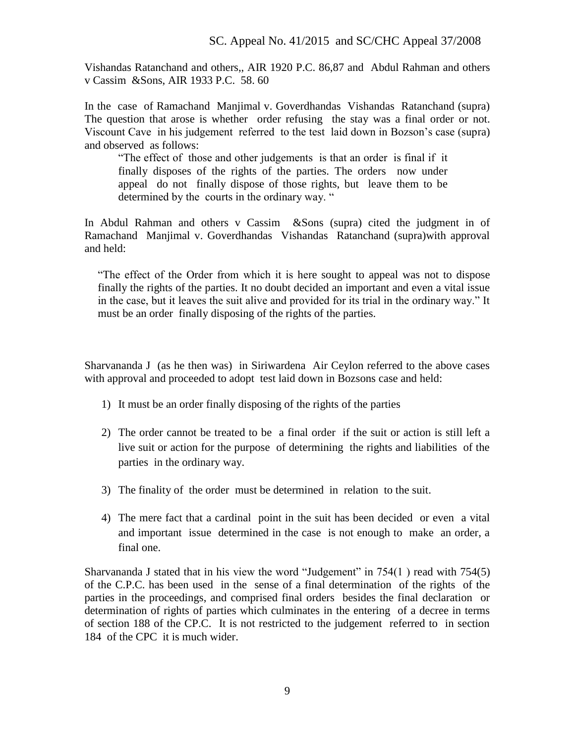Vishandas Ratanchand and others,, AIR 1920 P.C. 86,87 and Abdul Rahman and others v Cassim &Sons, AIR 1933 P.C. 58. 60

In the case of Ramachand Manjimal v. Goverdhandas Vishandas Ratanchand (supra) The question that arose is whether order refusing the stay was a final order or not. Viscount Cave in his judgement referred to the test laid down in Bozson's case (supra) and observed as follows:

"The effect of those and other judgements is that an order is final if it finally disposes of the rights of the parties. The orders now under appeal do not finally dispose of those rights, but leave them to be determined by the courts in the ordinary way. "

In Abdul Rahman and others v Cassim &Sons (supra) cited the judgment in of Ramachand Manjimal v. Goverdhandas Vishandas Ratanchand (supra)with approval and held:

"The effect of the Order from which it is here sought to appeal was not to dispose finally the rights of the parties. It no doubt decided an important and even a vital issue in the case, but it leaves the suit alive and provided for its trial in the ordinary way." It must be an order finally disposing of the rights of the parties.

Sharvananda J (as he then was) in Siriwardena Air Ceylon referred to the above cases with approval and proceeded to adopt test laid down in Bozsons case and held:

- 1) It must be an order finally disposing of the rights of the parties
- 2) The order cannot be treated to be a final order if the suit or action is still left a live suit or action for the purpose of determining the rights and liabilities of the parties in the ordinary way.
- 3) The finality of the order must be determined in relation to the suit.
- 4) The mere fact that a cardinal point in the suit has been decided or even a vital and important issue determined in the case is not enough to make an order, a final one.

Sharvananda J stated that in his view the word "Judgement" in 754(1 ) read with 754(5) of the C.P.C. has been used in the sense of a final determination of the rights of the parties in the proceedings, and comprised final orders besides the final declaration or determination of rights of parties which culminates in the entering of a decree in terms of section 188 of the CP.C. It is not restricted to the judgement referred to in section 184 of the CPC it is much wider.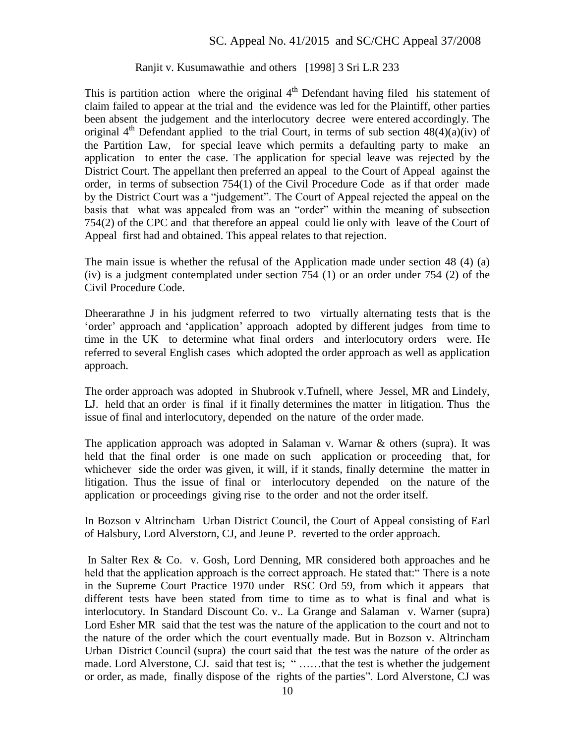#### Ranjit v. Kusumawathie and others [1998] 3 Sri L.R 233

This is partition action where the original  $4<sup>th</sup>$  Defendant having filed his statement of claim failed to appear at the trial and the evidence was led for the Plaintiff, other parties been absent the judgement and the interlocutory decree were entered accordingly. The original  $4^{th}$  Defendant applied to the trial Court, in terms of sub section  $48(4)(a)(iv)$  of the Partition Law, for special leave which permits a defaulting party to make an application to enter the case. The application for special leave was rejected by the District Court. The appellant then preferred an appeal to the Court of Appeal against the order, in terms of subsection 754(1) of the Civil Procedure Code as if that order made by the District Court was a "judgement". The Court of Appeal rejected the appeal on the basis that what was appealed from was an "order" within the meaning of subsection 754(2) of the CPC and that therefore an appeal could lie only with leave of the Court of Appeal first had and obtained. This appeal relates to that rejection.

The main issue is whether the refusal of the Application made under section 48 (4) (a) (iv) is a judgment contemplated under section 754 (1) or an order under 754 (2) of the Civil Procedure Code.

Dheerarathne J in his judgment referred to two virtually alternating tests that is the 'order' approach and 'application' approach adopted by different judges from time to time in the UK to determine what final orders and interlocutory orders were. He referred to several English cases which adopted the order approach as well as application approach.

The order approach was adopted in Shubrook v.Tufnell, where Jessel, MR and Lindely, LJ. held that an order is final if it finally determines the matter in litigation. Thus the issue of final and interlocutory, depended on the nature of the order made.

The application approach was adopted in Salaman v. Warnar & others (supra). It was held that the final order is one made on such application or proceeding that, for whichever side the order was given, it will, if it stands, finally determine the matter in litigation. Thus the issue of final or interlocutory depended on the nature of the application or proceedings giving rise to the order and not the order itself.

In Bozson v Altrincham Urban District Council, the Court of Appeal consisting of Earl of Halsbury, Lord Alverstorn, CJ, and Jeune P. reverted to the order approach.

In Salter Rex & Co. v. Gosh, Lord Denning, MR considered both approaches and he held that the application approach is the correct approach. He stated that: "There is a note in the Supreme Court Practice 1970 under RSC Ord 59, from which it appears that different tests have been stated from time to time as to what is final and what is interlocutory. In Standard Discount Co. v.. La Grange and Salaman v. Warner (supra) Lord Esher MR said that the test was the nature of the application to the court and not to the nature of the order which the court eventually made. But in Bozson v. Altrincham Urban District Council (supra) the court said that the test was the nature of the order as made. Lord Alverstone, CJ. said that test is; " ......that the test is whether the judgement or order, as made, finally dispose of the rights of the parties". Lord Alverstone, CJ was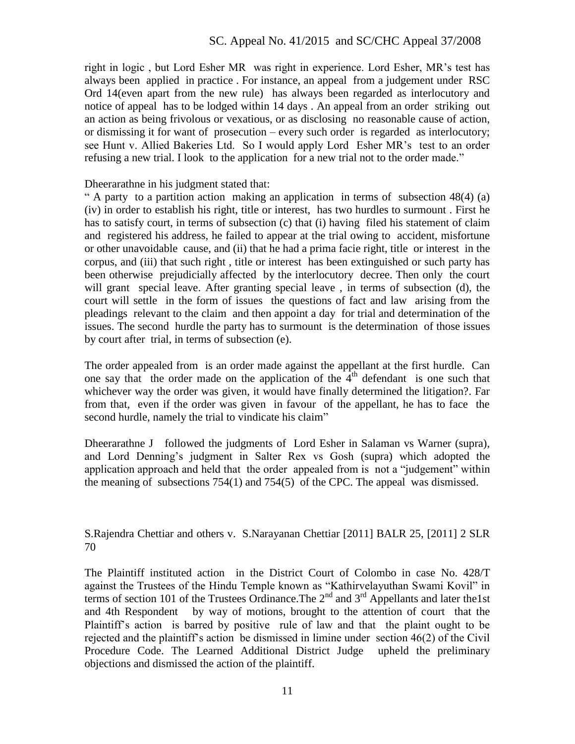right in logic , but Lord Esher MR was right in experience. Lord Esher, MR's test has always been applied in practice . For instance, an appeal from a judgement under RSC Ord 14(even apart from the new rule) has always been regarded as interlocutory and notice of appeal has to be lodged within 14 days . An appeal from an order striking out an action as being frivolous or vexatious, or as disclosing no reasonable cause of action, or dismissing it for want of prosecution – every such order is regarded as interlocutory; see Hunt v. Allied Bakeries Ltd. So I would apply Lord Esher MR's test to an order refusing a new trial. I look to the application for a new trial not to the order made."

Dheerarathne in his judgment stated that:

" A party to a partition action making an application in terms of subsection 48(4) (a) (iv) in order to establish his right, title or interest, has two hurdles to surmount . First he has to satisfy court, in terms of subsection (c) that (i) having filed his statement of claim and registered his address, he failed to appear at the trial owing to accident, misfortune or other unavoidable cause, and (ii) that he had a prima facie right, title or interest in the corpus, and (iii) that such right , title or interest has been extinguished or such party has been otherwise prejudicially affected by the interlocutory decree. Then only the court will grant special leave. After granting special leave , in terms of subsection (d), the court will settle in the form of issues the questions of fact and law arising from the pleadings relevant to the claim and then appoint a day for trial and determination of the issues. The second hurdle the party has to surmount is the determination of those issues by court after trial, in terms of subsection (e).

The order appealed from is an order made against the appellant at the first hurdle. Can one say that the order made on the application of the  $4<sup>th</sup>$  defendant is one such that whichever way the order was given, it would have finally determined the litigation?. Far from that, even if the order was given in favour of the appellant, he has to face the second hurdle, namely the trial to vindicate his claim"

Dheerarathne J followed the judgments of Lord Esher in Salaman vs Warner (supra), and Lord Denning's judgment in Salter Rex vs Gosh (supra) which adopted the application approach and held that the order appealed from is not a "judgement" within the meaning of subsections 754(1) and 754(5) of the CPC. The appeal was dismissed.

S.Rajendra Chettiar and others v. S.Narayanan Chettiar [2011] BALR 25, [2011] 2 SLR 70

The Plaintiff instituted action in the District Court of Colombo in case No. 428/T against the Trustees of the Hindu Temple known as "Kathirvelayuthan Swami Kovil" in terms of section 101 of the Trustees Ordinance. The  $2<sup>nd</sup>$  and  $3<sup>rd</sup>$  Appellants and later the1st and 4th Respondent by way of motions, brought to the attention of court that the Plaintiff's action is barred by positive rule of law and that the plaint ought to be rejected and the plaintiff's action be dismissed in limine under section 46(2) of the Civil Procedure Code. The Learned Additional District Judge upheld the preliminary objections and dismissed the action of the plaintiff.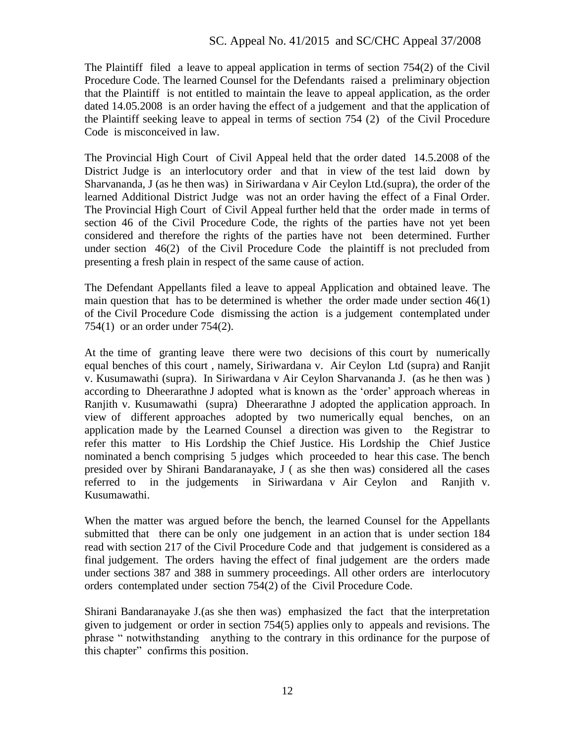The Plaintiff filed a leave to appeal application in terms of section 754(2) of the Civil Procedure Code. The learned Counsel for the Defendants raised a preliminary objection that the Plaintiff is not entitled to maintain the leave to appeal application, as the order dated 14.05.2008 is an order having the effect of a judgement and that the application of the Plaintiff seeking leave to appeal in terms of section 754 (2) of the Civil Procedure Code is misconceived in law.

The Provincial High Court of Civil Appeal held that the order dated 14.5.2008 of the District Judge is an interlocutory order and that in view of the test laid down by Sharvananda, J (as he then was) in Siriwardana v Air Ceylon Ltd.(supra), the order of the learned Additional District Judge was not an order having the effect of a Final Order. The Provincial High Court of Civil Appeal further held that the order made in terms of section 46 of the Civil Procedure Code, the rights of the parties have not yet been considered and therefore the rights of the parties have not been determined. Further under section 46(2) of the Civil Procedure Code the plaintiff is not precluded from presenting a fresh plain in respect of the same cause of action.

The Defendant Appellants filed a leave to appeal Application and obtained leave. The main question that has to be determined is whether the order made under section 46(1) of the Civil Procedure Code dismissing the action is a judgement contemplated under 754(1) or an order under 754(2).

At the time of granting leave there were two decisions of this court by numerically equal benches of this court , namely, Siriwardana v. Air Ceylon Ltd (supra) and Ranjit v. Kusumawathi (supra). In Siriwardana v Air Ceylon Sharvananda J. (as he then was ) according to Dheerarathne J adopted what is known as the 'order' approach whereas in Ranjith v. Kusumawathi (supra) Dheerarathne J adopted the application approach. In view of different approaches adopted by two numerically equal benches, on an application made by the Learned Counsel a direction was given to the Registrar to refer this matter to His Lordship the Chief Justice. His Lordship the Chief Justice nominated a bench comprising 5 judges which proceeded to hear this case. The bench presided over by Shirani Bandaranayake, J ( as she then was) considered all the cases referred to in the judgements in Siriwardana v Air Ceylon and Ranjith v. Kusumawathi.

When the matter was argued before the bench, the learned Counsel for the Appellants submitted that there can be only one judgement in an action that is under section 184 read with section 217 of the Civil Procedure Code and that judgement is considered as a final judgement. The orders having the effect of final judgement are the orders made under sections 387 and 388 in summery proceedings. All other orders are interlocutory orders contemplated under section 754(2) of the Civil Procedure Code.

Shirani Bandaranayake J.(as she then was) emphasized the fact that the interpretation given to judgement or order in section 754(5) applies only to appeals and revisions. The phrase " notwithstanding anything to the contrary in this ordinance for the purpose of this chapter" confirms this position.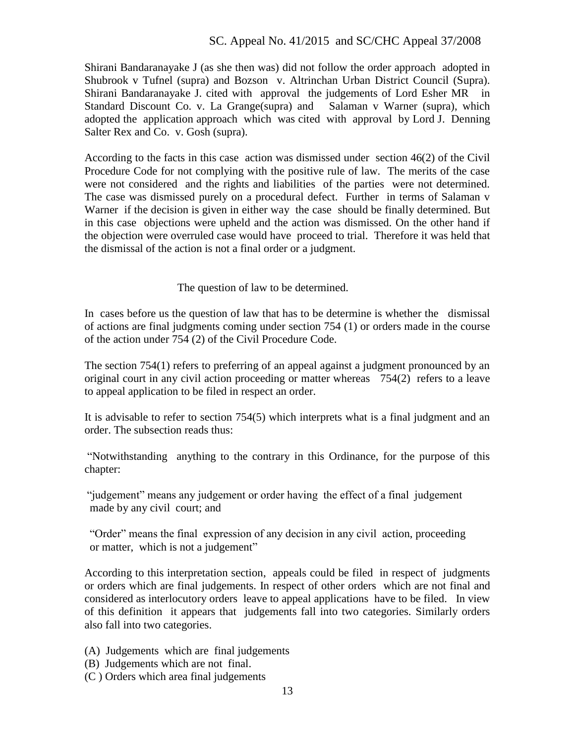Shirani Bandaranayake J (as she then was) did not follow the order approach adopted in Shubrook v Tufnel (supra) and Bozson v. Altrinchan Urban District Council (Supra). Shirani Bandaranayake J. cited with approval the judgements of Lord Esher MR in Standard Discount Co. v. La Grange(supra) and Salaman v Warner (supra), which adopted the application approach which was cited with approval by Lord J. Denning Salter Rex and Co. v. Gosh (supra).

According to the facts in this case action was dismissed under section 46(2) of the Civil Procedure Code for not complying with the positive rule of law. The merits of the case were not considered and the rights and liabilities of the parties were not determined. The case was dismissed purely on a procedural defect. Further in terms of Salaman v Warner if the decision is given in either way the case should be finally determined. But in this case objections were upheld and the action was dismissed. On the other hand if the objection were overruled case would have proceed to trial. Therefore it was held that the dismissal of the action is not a final order or a judgment.

The question of law to be determined.

In cases before us the question of law that has to be determine is whether the dismissal of actions are final judgments coming under section 754 (1) or orders made in the course of the action under 754 (2) of the Civil Procedure Code.

The section 754(1) refers to preferring of an appeal against a judgment pronounced by an original court in any civil action proceeding or matter whereas 754(2) refers to a leave to appeal application to be filed in respect an order.

It is advisable to refer to section 754(5) which interprets what is a final judgment and an order. The subsection reads thus:

"Notwithstanding anything to the contrary in this Ordinance, for the purpose of this chapter:

 "judgement" means any judgement or order having the effect of a final judgement made by any civil court; and

"Order" means the final expression of any decision in any civil action, proceeding or matter, which is not a judgement"

According to this interpretation section, appeals could be filed in respect of judgments or orders which are final judgements. In respect of other orders which are not final and considered as interlocutory orders leave to appeal applications have to be filed. In view of this definition it appears that judgements fall into two categories. Similarly orders also fall into two categories.

(A) Judgements which are final judgements

- (B) Judgements which are not final.
- (C ) Orders which area final judgements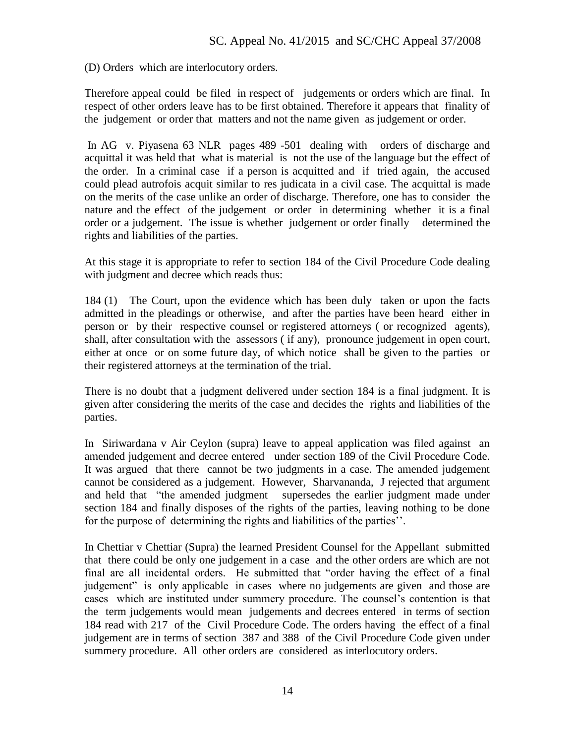(D) Orders which are interlocutory orders.

Therefore appeal could be filed in respect of judgements or orders which are final. In respect of other orders leave has to be first obtained. Therefore it appears that finality of the judgement or order that matters and not the name given as judgement or order.

In AG v. Piyasena 63 NLR pages 489 -501 dealing with orders of discharge and acquittal it was held that what is material is not the use of the language but the effect of the order. In a criminal case if a person is acquitted and if tried again, the accused could plead autrofois acquit similar to res judicata in a civil case. The acquittal is made on the merits of the case unlike an order of discharge. Therefore, one has to consider the nature and the effect of the judgement or order in determining whether it is a final order or a judgement. The issue is whether judgement or order finally determined the rights and liabilities of the parties.

At this stage it is appropriate to refer to section 184 of the Civil Procedure Code dealing with judgment and decree which reads thus:

184 (1) The Court, upon the evidence which has been duly taken or upon the facts admitted in the pleadings or otherwise, and after the parties have been heard either in person or by their respective counsel or registered attorneys ( or recognized agents), shall, after consultation with the assessors ( if any), pronounce judgement in open court, either at once or on some future day, of which notice shall be given to the parties or their registered attorneys at the termination of the trial.

There is no doubt that a judgment delivered under section 184 is a final judgment. It is given after considering the merits of the case and decides the rights and liabilities of the parties.

In Siriwardana v Air Ceylon (supra) leave to appeal application was filed against an amended judgement and decree entered under section 189 of the Civil Procedure Code. It was argued that there cannot be two judgments in a case. The amended judgement cannot be considered as a judgement. However, Sharvananda, J rejected that argument and held that "the amended judgment supersedes the earlier judgment made under section 184 and finally disposes of the rights of the parties, leaving nothing to be done for the purpose of determining the rights and liabilities of the parties''.

In Chettiar v Chettiar (Supra) the learned President Counsel for the Appellant submitted that there could be only one judgement in a case and the other orders are which are not final are all incidental orders. He submitted that "order having the effect of a final judgement" is only applicable in cases where no judgements are given and those are cases which are instituted under summery procedure. The counsel's contention is that the term judgements would mean judgements and decrees entered in terms of section 184 read with 217 of the Civil Procedure Code. The orders having the effect of a final judgement are in terms of section 387 and 388 of the Civil Procedure Code given under summery procedure. All other orders are considered as interlocutory orders.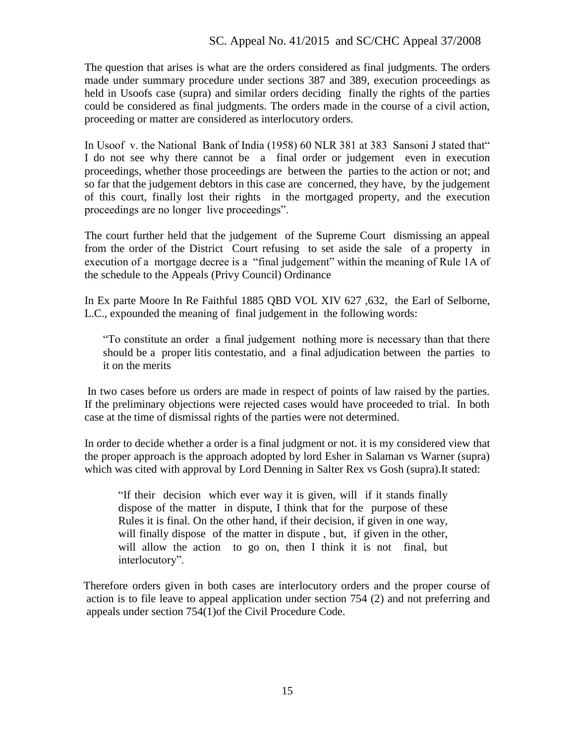The question that arises is what are the orders considered as final judgments. The orders made under summary procedure under sections 387 and 389, execution proceedings as held in Usoofs case (supra) and similar orders deciding finally the rights of the parties could be considered as final judgments. The orders made in the course of a civil action, proceeding or matter are considered as interlocutory orders.

In Usoof v. the National Bank of India (1958) 60 NLR 381 at 383 Sansoni J stated that" I do not see why there cannot be a final order or judgement even in execution proceedings, whether those proceedings are between the parties to the action or not; and so far that the judgement debtors in this case are concerned, they have, by the judgement of this court, finally lost their rights in the mortgaged property, and the execution proceedings are no longer live proceedings".

The court further held that the judgement of the Supreme Court dismissing an appeal from the order of the District Court refusing to set aside the sale of a property in execution of a mortgage decree is a "final judgement" within the meaning of Rule 1A of the schedule to the Appeals (Privy Council) Ordinance

In Ex parte Moore In Re Faithful 1885 QBD VOL XIV 627 ,632, the Earl of Selborne, L.C., expounded the meaning of final judgement in the following words:

"To constitute an order a final judgement nothing more is necessary than that there should be a proper litis contestatio, and a final adjudication between the parties to it on the merits

In two cases before us orders are made in respect of points of law raised by the parties. If the preliminary objections were rejected cases would have proceeded to trial. In both case at the time of dismissal rights of the parties were not determined.

In order to decide whether a order is a final judgment or not. it is my considered view that the proper approach is the approach adopted by lord Esher in Salaman vs Warner (supra) which was cited with approval by Lord Denning in Salter Rex vs Gosh (supra).It stated:

 "If their decision which ever way it is given, will if it stands finally dispose of the matter in dispute, I think that for the purpose of these Rules it is final. On the other hand, if their decision, if given in one way, will finally dispose of the matter in dispute, but, if given in the other, will allow the action to go on, then I think it is not final, but interlocutory".

 Therefore orders given in both cases are interlocutory orders and the proper course of action is to file leave to appeal application under section 754 (2) and not preferring and appeals under section 754(1)of the Civil Procedure Code.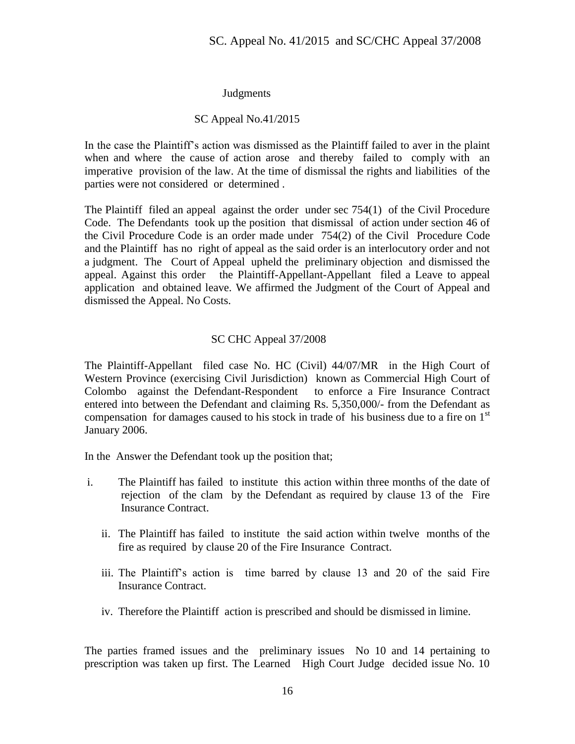## Judgments

## SC Appeal No.41/2015

In the case the Plaintiff's action was dismissed as the Plaintiff failed to aver in the plaint when and where the cause of action arose and thereby failed to comply with an imperative provision of the law. At the time of dismissal the rights and liabilities of the parties were not considered or determined .

The Plaintiff filed an appeal against the order under sec 754(1) of the Civil Procedure Code. The Defendants took up the position that dismissal of action under section 46 of the Civil Procedure Code is an order made under 754(2) of the Civil Procedure Code and the Plaintiff has no right of appeal as the said order is an interlocutory order and not a judgment. The Court of Appeal upheld the preliminary objection and dismissed the appeal. Against this order the Plaintiff-Appellant-Appellant filed a Leave to appeal application and obtained leave. We affirmed the Judgment of the Court of Appeal and dismissed the Appeal. No Costs.

## SC CHC Appeal 37/2008

The Plaintiff-Appellant filed case No. HC (Civil) 44/07/MR in the High Court of Western Province (exercising Civil Jurisdiction) known as Commercial High Court of Colombo against the Defendant-Respondent to enforce a Fire Insurance Contract entered into between the Defendant and claiming Rs. 5,350,000/- from the Defendant as compensation for damages caused to his stock in trade of his business due to a fire on  $1<sup>st</sup>$ January 2006.

In the Answer the Defendant took up the position that;

- i. The Plaintiff has failed to institute this action within three months of the date of rejection of the clam by the Defendant as required by clause 13 of the Fire Insurance Contract.
	- ii. The Plaintiff has failed to institute the said action within twelve months of the fire as required by clause 20 of the Fire Insurance Contract.
	- iii. The Plaintiff's action is time barred by clause 13 and 20 of the said Fire Insurance Contract.
	- iv. Therefore the Plaintiff action is prescribed and should be dismissed in limine.

The parties framed issues and the preliminary issues No 10 and 14 pertaining to prescription was taken up first. The Learned High Court Judge decided issue No. 10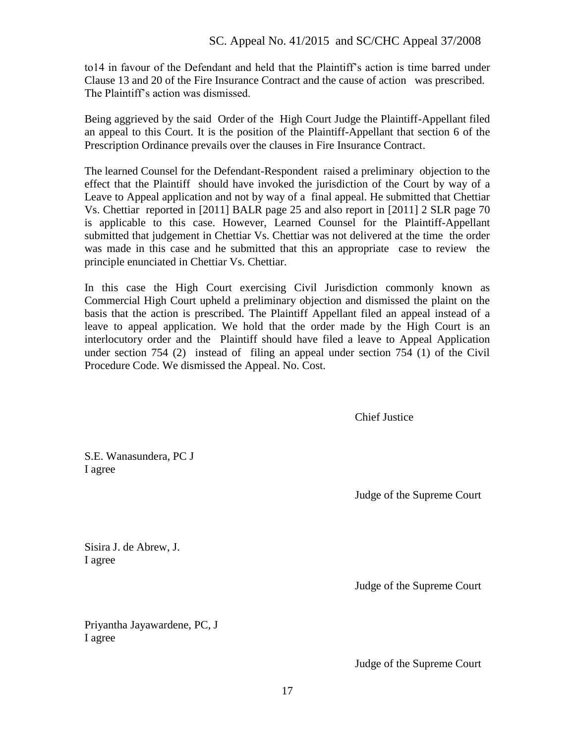to14 in favour of the Defendant and held that the Plaintiff's action is time barred under Clause 13 and 20 of the Fire Insurance Contract and the cause of action was prescribed. The Plaintiff's action was dismissed.

Being aggrieved by the said Order of the High Court Judge the Plaintiff-Appellant filed an appeal to this Court. It is the position of the Plaintiff-Appellant that section 6 of the Prescription Ordinance prevails over the clauses in Fire Insurance Contract.

The learned Counsel for the Defendant-Respondent raised a preliminary objection to the effect that the Plaintiff should have invoked the jurisdiction of the Court by way of a Leave to Appeal application and not by way of a final appeal. He submitted that Chettiar Vs. Chettiar reported in [2011] BALR page 25 and also report in [2011] 2 SLR page 70 is applicable to this case. However, Learned Counsel for the Plaintiff-Appellant submitted that judgement in Chettiar Vs. Chettiar was not delivered at the time the order was made in this case and he submitted that this an appropriate case to review the principle enunciated in Chettiar Vs. Chettiar.

In this case the High Court exercising Civil Jurisdiction commonly known as Commercial High Court upheld a preliminary objection and dismissed the plaint on the basis that the action is prescribed. The Plaintiff Appellant filed an appeal instead of a leave to appeal application. We hold that the order made by the High Court is an interlocutory order and the Plaintiff should have filed a leave to Appeal Application under section 754 (2) instead of filing an appeal under section 754 (1) of the Civil Procedure Code. We dismissed the Appeal. No. Cost.

Chief Justice

S.E. Wanasundera, PC J I agree

Judge of the Supreme Court

Sisira J. de Abrew, J. I agree

Judge of the Supreme Court

Priyantha Jayawardene, PC, J I agree

Judge of the Supreme Court